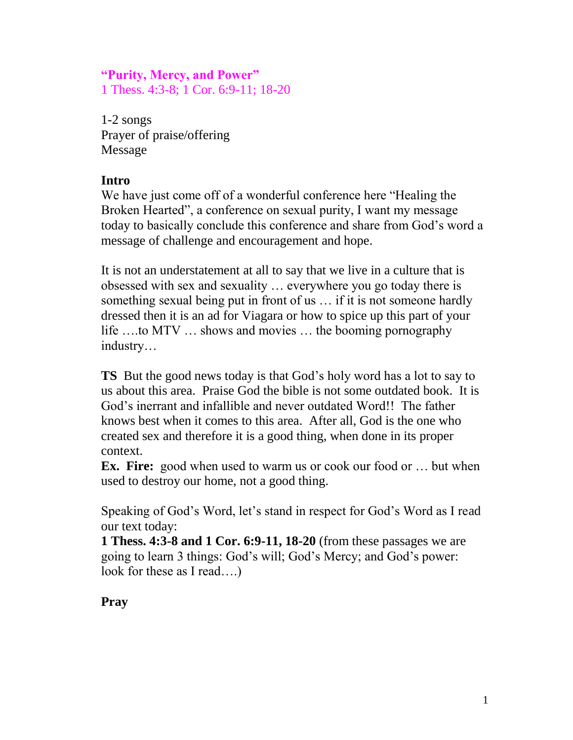### **"Purity, Mercy, and Power"**

1 Thess. 4:3-8; 1 Cor. 6:9-11; 18-20

1-2 songs Prayer of praise/offering Message

#### **Intro**

We have just come off of a wonderful conference here "Healing the Broken Hearted", a conference on sexual purity, I want my message today to basically conclude this conference and share from God's word a message of challenge and encouragement and hope.

It is not an understatement at all to say that we live in a culture that is obsessed with sex and sexuality … everywhere you go today there is something sexual being put in front of us … if it is not someone hardly dressed then it is an ad for Viagara or how to spice up this part of your life ….to MTV … shows and movies … the booming pornography industry…

**TS** But the good news today is that God's holy word has a lot to say to us about this area. Praise God the bible is not some outdated book. It is God's inerrant and infallible and never outdated Word!! The father knows best when it comes to this area. After all, God is the one who created sex and therefore it is a good thing, when done in its proper context.

**Ex. Fire:** good when used to warm us or cook our food or ... but when used to destroy our home, not a good thing.

Speaking of God's Word, let's stand in respect for God's Word as I read our text today:

**1 Thess. 4:3-8 and 1 Cor. 6:9-11, 18-20** (from these passages we are going to learn 3 things: God's will; God's Mercy; and God's power: look for these as I read….)

### **Pray**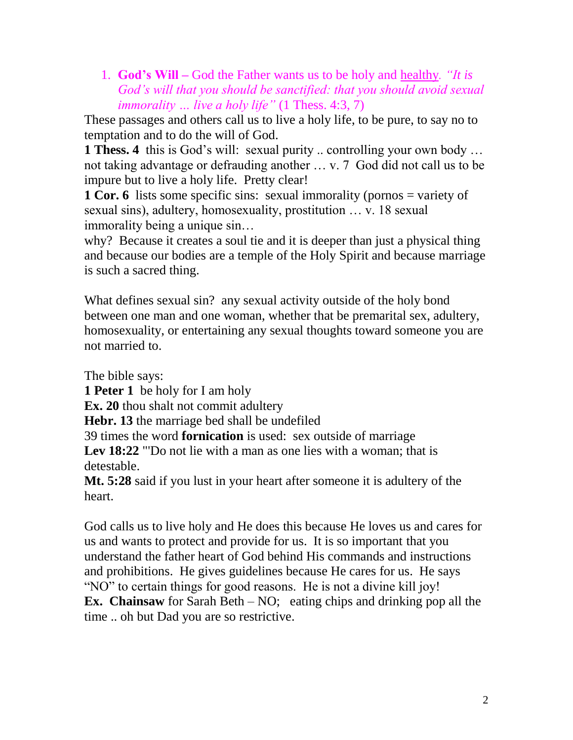1. **God's Will –** God the Father wants us to be holy and healthy*. "It is God's will that you should be sanctified: that you should avoid sexual immorality … live a holy life"* (1 Thess. 4:3, 7)

These passages and others call us to live a holy life, to be pure, to say no to temptation and to do the will of God.

**1 Thess. 4** this is God's will: sexual purity .. controlling your own body ... not taking advantage or defrauding another … v. 7 God did not call us to be impure but to live a holy life. Pretty clear!

**1 Cor. 6** lists some specific sins: sexual immorality (pornos = variety of sexual sins), adultery, homosexuality, prostitution … v. 18 sexual immorality being a unique sin…

why? Because it creates a soul tie and it is deeper than just a physical thing and because our bodies are a temple of the Holy Spirit and because marriage is such a sacred thing.

What defines sexual sin? any sexual activity outside of the holy bond between one man and one woman, whether that be premarital sex, adultery, homosexuality, or entertaining any sexual thoughts toward someone you are not married to.

The bible says:

**1 Peter 1** be holy for I am holy

**Ex. 20** thou shalt not commit adultery

**Hebr. 13** the marriage bed shall be undefiled

39 times the word **fornication** is used: sex outside of marriage

Lev 18:22 "Do not lie with a man as one lies with a woman; that is detestable.

**Mt. 5:28** said if you lust in your heart after someone it is adultery of the heart.

God calls us to live holy and He does this because He loves us and cares for us and wants to protect and provide for us. It is so important that you understand the father heart of God behind His commands and instructions and prohibitions. He gives guidelines because He cares for us. He says "NO" to certain things for good reasons. He is not a divine kill joy! **Ex.** Chainsaw for Sarah Beth – NO; eating chips and drinking pop all the time .. oh but Dad you are so restrictive.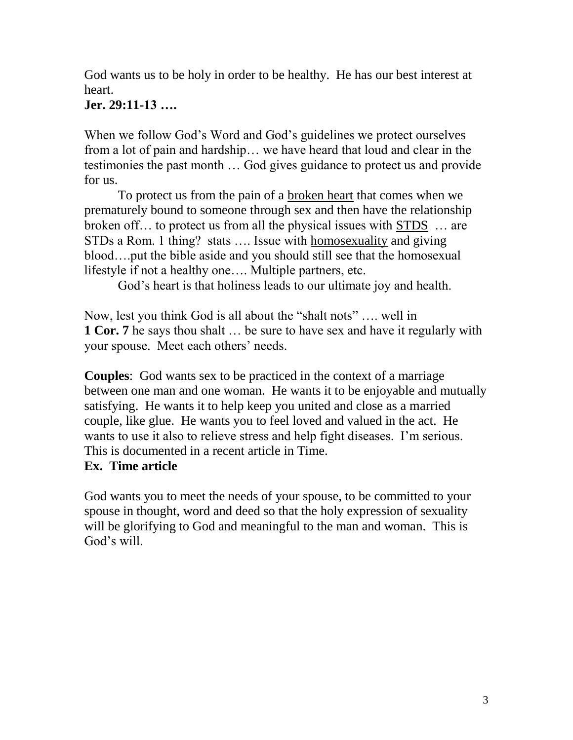God wants us to be holy in order to be healthy. He has our best interest at heart.

### **Jer. 29:11-13 ….**

When we follow God's Word and God's guidelines we protect ourselves from a lot of pain and hardship… we have heard that loud and clear in the testimonies the past month … God gives guidance to protect us and provide for us.

To protect us from the pain of a broken heart that comes when we prematurely bound to someone through sex and then have the relationship broken off… to protect us from all the physical issues with STDS … are STDs a Rom. 1 thing? stats …. Issue with homosexuality and giving blood….put the bible aside and you should still see that the homosexual lifestyle if not a healthy one…. Multiple partners, etc.

God's heart is that holiness leads to our ultimate joy and health.

Now, lest you think God is all about the "shalt nots" …. well in **1 Cor. 7** he says thou shalt ... be sure to have sex and have it regularly with your spouse. Meet each others' needs.

**Couples**: God wants sex to be practiced in the context of a marriage between one man and one woman. He wants it to be enjoyable and mutually satisfying. He wants it to help keep you united and close as a married couple, like glue. He wants you to feel loved and valued in the act. He wants to use it also to relieve stress and help fight diseases. I'm serious. This is documented in a recent article in Time.

### **Ex. Time article**

God wants you to meet the needs of your spouse, to be committed to your spouse in thought, word and deed so that the holy expression of sexuality will be glorifying to God and meaningful to the man and woman. This is God's will.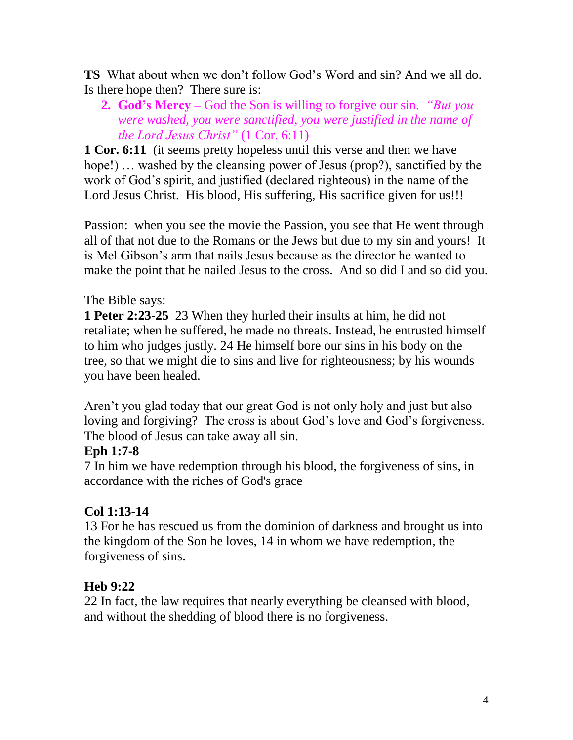**TS** What about when we don't follow God's Word and sin? And we all do. Is there hope then? There sure is:

**2. God's Mercy –** God the Son is willing to forgive our sin. *"But you were washed, you were sanctified, you were justified in the name of the Lord Jesus Christ"* (1 Cor. 6:11)

**1 Cor. 6:11** (it seems pretty hopeless until this verse and then we have hope!) ... washed by the cleansing power of Jesus (prop?), sanctified by the work of God's spirit, and justified (declared righteous) in the name of the Lord Jesus Christ. His blood, His suffering, His sacrifice given for us!!!

Passion: when you see the movie the Passion, you see that He went through all of that not due to the Romans or the Jews but due to my sin and yours! It is Mel Gibson's arm that nails Jesus because as the director he wanted to make the point that he nailed Jesus to the cross. And so did I and so did you.

# The Bible says:

**1 Peter 2:23-25** 23 When they hurled their insults at him, he did not retaliate; when he suffered, he made no threats. Instead, he entrusted himself to him who judges justly. 24 He himself bore our sins in his body on the tree, so that we might die to sins and live for righteousness; by his wounds you have been healed.

Aren't you glad today that our great God is not only holy and just but also loving and forgiving? The cross is about God's love and God's forgiveness. The blood of Jesus can take away all sin.

### **Eph 1:7-8**

7 In him we have redemption through his blood, the forgiveness of sins, in accordance with the riches of God's grace

### **Col 1:13-14**

13 For he has rescued us from the dominion of darkness and brought us into the kingdom of the Son he loves, 14 in whom we have redemption, the forgiveness of sins.

# **Heb 9:22**

22 In fact, the law requires that nearly everything be cleansed with blood, and without the shedding of blood there is no forgiveness.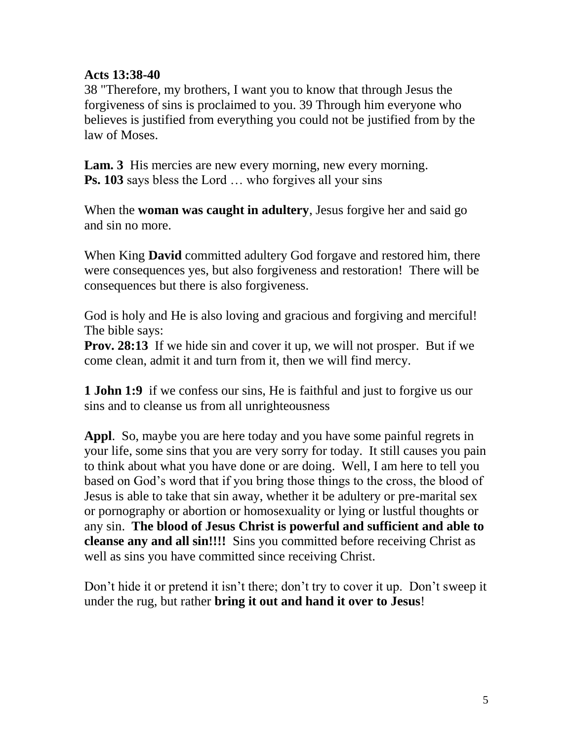#### **Acts 13:38-40**

38 "Therefore, my brothers, I want you to know that through Jesus the forgiveness of sins is proclaimed to you. 39 Through him everyone who believes is justified from everything you could not be justified from by the law of Moses.

Lam. 3 His mercies are new every morning, new every morning. **Ps. 103** says bless the Lord ... who forgives all your sins

When the **woman was caught in adultery**, Jesus forgive her and said go and sin no more.

When King **David** committed adultery God forgave and restored him, there were consequences yes, but also forgiveness and restoration! There will be consequences but there is also forgiveness.

God is holy and He is also loving and gracious and forgiving and merciful! The bible says:

**Prov. 28:13** If we hide sin and cover it up, we will not prosper. But if we come clean, admit it and turn from it, then we will find mercy.

**1 John 1:9** if we confess our sins, He is faithful and just to forgive us our sins and to cleanse us from all unrighteousness

**Appl**. So, maybe you are here today and you have some painful regrets in your life, some sins that you are very sorry for today. It still causes you pain to think about what you have done or are doing. Well, I am here to tell you based on God's word that if you bring those things to the cross, the blood of Jesus is able to take that sin away, whether it be adultery or pre-marital sex or pornography or abortion or homosexuality or lying or lustful thoughts or any sin. **The blood of Jesus Christ is powerful and sufficient and able to cleanse any and all sin!!!!** Sins you committed before receiving Christ as well as sins you have committed since receiving Christ.

Don't hide it or pretend it isn't there; don't try to cover it up. Don't sweep it under the rug, but rather **bring it out and hand it over to Jesus**!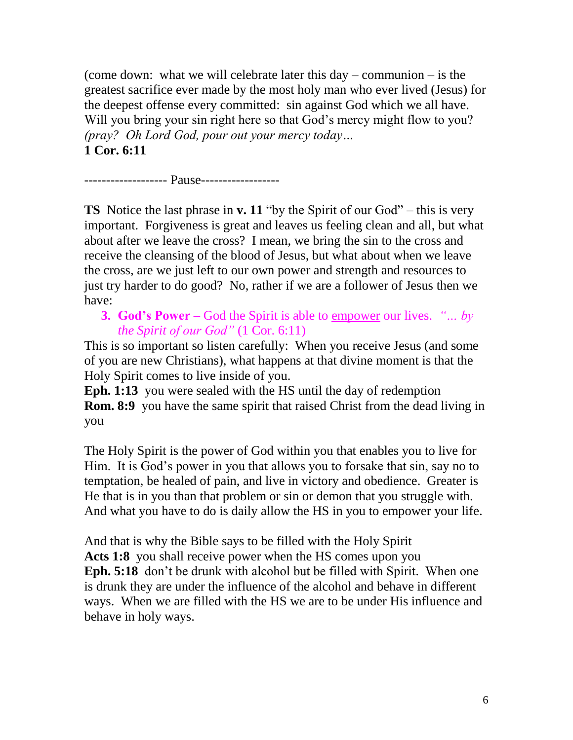(come down: what we will celebrate later this day – communion – is the greatest sacrifice ever made by the most holy man who ever lived (Jesus) for the deepest offense every committed: sin against God which we all have. Will you bring your sin right here so that God's mercy might flow to you? *(pray? Oh Lord God, pour out your mercy today…* **1 Cor. 6:11** 

------------------- Pause------------------

**TS** Notice the last phrase in **v. 11** "by the Spirit of our God" – this is very important. Forgiveness is great and leaves us feeling clean and all, but what about after we leave the cross? I mean, we bring the sin to the cross and receive the cleansing of the blood of Jesus, but what about when we leave the cross, are we just left to our own power and strength and resources to just try harder to do good? No, rather if we are a follower of Jesus then we have:

**3. God's Power –** God the Spirit is able to empower our lives. *"… by the Spirit of our God"* (1 Cor. 6:11)

This is so important so listen carefully: When you receive Jesus (and some of you are new Christians), what happens at that divine moment is that the Holy Spirit comes to live inside of you.

**Eph. 1:13** you were sealed with the HS until the day of redemption **Rom. 8:9** you have the same spirit that raised Christ from the dead living in you

The Holy Spirit is the power of God within you that enables you to live for Him. It is God's power in you that allows you to forsake that sin, say no to temptation, be healed of pain, and live in victory and obedience. Greater is He that is in you than that problem or sin or demon that you struggle with. And what you have to do is daily allow the HS in you to empower your life.

And that is why the Bible says to be filled with the Holy Spirit Acts 1:8 you shall receive power when the HS comes upon you **Eph. 5:18** don't be drunk with alcohol but be filled with Spirit. When one is drunk they are under the influence of the alcohol and behave in different ways. When we are filled with the HS we are to be under His influence and behave in holy ways.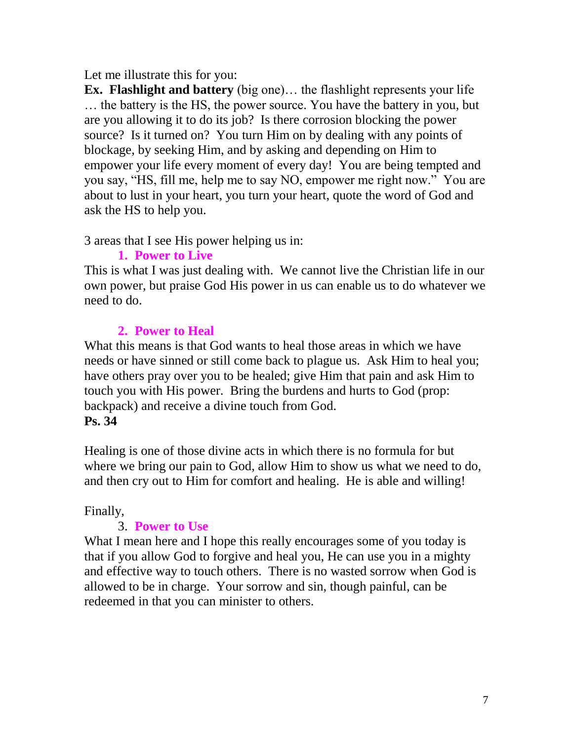#### Let me illustrate this for you:

**Ex. Flashlight and battery** (big one)… the flashlight represents your life … the battery is the HS, the power source. You have the battery in you, but are you allowing it to do its job? Is there corrosion blocking the power source? Is it turned on? You turn Him on by dealing with any points of blockage, by seeking Him, and by asking and depending on Him to empower your life every moment of every day! You are being tempted and you say, "HS, fill me, help me to say NO, empower me right now." You are about to lust in your heart, you turn your heart, quote the word of God and ask the HS to help you.

3 areas that I see His power helping us in:

### **1. Power to Live**

This is what I was just dealing with. We cannot live the Christian life in our own power, but praise God His power in us can enable us to do whatever we need to do.

# **2. Power to Heal**

What this means is that God wants to heal those areas in which we have needs or have sinned or still come back to plague us. Ask Him to heal you; have others pray over you to be healed; give Him that pain and ask Him to touch you with His power. Bring the burdens and hurts to God (prop: backpack) and receive a divine touch from God. **Ps. 34**

Healing is one of those divine acts in which there is no formula for but where we bring our pain to God, allow Him to show us what we need to do, and then cry out to Him for comfort and healing. He is able and willing!

### Finally,

### 3. **Power to Use**

What I mean here and I hope this really encourages some of you today is that if you allow God to forgive and heal you, He can use you in a mighty and effective way to touch others. There is no wasted sorrow when God is allowed to be in charge. Your sorrow and sin, though painful, can be redeemed in that you can minister to others.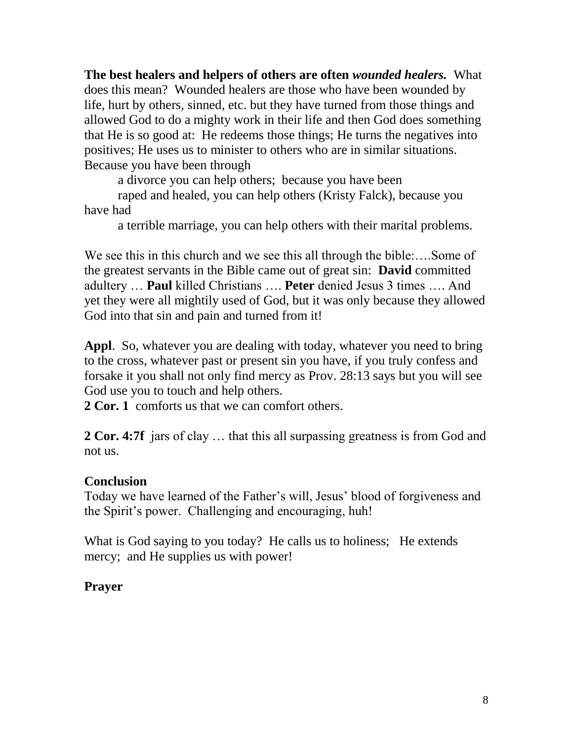**The best healers and helpers of others are often** *wounded healers.* What does this mean? Wounded healers are those who have been wounded by life, hurt by others, sinned, etc. but they have turned from those things and allowed God to do a mighty work in their life and then God does something that He is so good at: He redeems those things; He turns the negatives into positives; He uses us to minister to others who are in similar situations. Because you have been through

a divorce you can help others; because you have been

raped and healed, you can help others (Kristy Falck), because you have had

a terrible marriage, you can help others with their marital problems.

We see this in this church and we see this all through the bible:....Some of the greatest servants in the Bible came out of great sin: **David** committed adultery … **Paul** killed Christians …. **Peter** denied Jesus 3 times …. And yet they were all mightily used of God, but it was only because they allowed God into that sin and pain and turned from it!

**Appl**. So, whatever you are dealing with today, whatever you need to bring to the cross, whatever past or present sin you have, if you truly confess and forsake it you shall not only find mercy as Prov. 28:13 says but you will see God use you to touch and help others.

**2 Cor. 1** comforts us that we can comfort others.

**2 Cor. 4:7f** jars of clay ... that this all surpassing greatness is from God and not us.

#### **Conclusion**

Today we have learned of the Father's will, Jesus' blood of forgiveness and the Spirit's power. Challenging and encouraging, huh!

What is God saying to you today? He calls us to holiness; He extends mercy; and He supplies us with power!

### **Prayer**